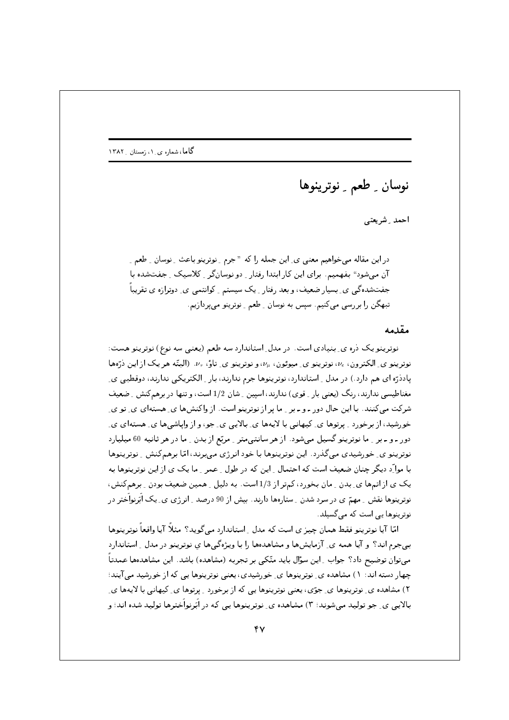نوسان <sub>-</sub> طعم <sub>-</sub> نوترينوها

احمد \_ شريعتى

در این مقاله می خواهیم معنی ی ِ این جمله را که " جرم ِ نوترینو باعث ِ نوسان ِ طعم ِ ِ آن می شود" بفهمیم. برای این کار ابتدا رفتار ِ دو نوسان گر ِ کلاسیک ِ جفتشده با جفتشده گپی پی بسیار ضعیف، و بعد رفتار ِ یک سیستم ِ کوانتمبی ی ِ دوترازه ی تقریباً ِ تبھگن را بررسی میںکنیم. سپس به نوسان - طعم - نوترینو می پردازیم.

## مقدمه

نوترینو یک دره ی ِ بنیادی است. در مدل ِ استاندارد سه طعم (یعنبی سه نوع) نوترینو هست: نوټرينو ي الکترون،  $\nu_e$ ، نوټرينو ي ميوئون،  $\nu_u$ ، و نوټرينو ي تاؤ،  $\nu_\tau$ . (البتّه هر يک از اين ذرّهها یاددّرّه ای هم دارد .) در مدل ِ استاندارد، نوترینوها جرم ندارند، بار ِ الکتریکی ندارند، دوقطبی یِ مغناطیسی ندارند، رنگ (یعنی بار ِ قوی) ندارند، اسپین ِ شان 1/2 است، و تنها در برهمکنش ِ ضعیف شرکت می کنند. با این حال دور ـ و ـ بر ۱ ما پر از نوترینو است. از واکنشها ی ِ هستهای ی ِ تو ی خورشید، از برخورد <sub>-</sub> پرتوها ی ِ کیهانی با لایهها ی ِ بالایی ی ِ جو، و از وایاشی ها ی ِ هستهای ی ِ دور ـ و ـ بر \_ ما نوترينو گسيل مىشود . از هر سانتىمتر \_ مرتع از بدن \_ ما در هر ثانيه 60 ميليارد نوترینو ی ِ خورشیدی می گذرد. این نوترینوها با خود انرژی می برند، امّا برهم کنش ِ نوترینوها با موارِّد دیگر چنان ضعیف است که احتمال ِ این که در طول ِ عمر ِ ما یک ی از این نوترینوها به یک ی از اتمها ی ِ بدن ِ مان بخورد، کمتر از 1/3 است. به دلیل ِ همین ضعیف بودن ِ برهمکنش، نوترینوها نقش ِ مهمّ ی در سرد شدن ِ ستارهها دارند. بیش از 90 درصد ِ انرژی ی ِ یک اَبَرنواَختر در نوترینوها ہے است که مے گسیلد.

امّا آیا نوترینو فقط همان چیز ی است که مدل ِ استاندارد مے گوید؟ مثلاً آیا واقعاً نوترینوها ببی جرم اند؟ و آیا همه ی ِ آزمایشها و مشاهدهها را با ویژهگیها ی نوترینو در مدل ِ استاندارد میتوان توضیح داد؟ جواب ِ این سؤال باید متّکی بر تجربه (مشاهده) باشد. این مشاهدهها عمدتاً چهار دسته اند: ۱) مشاهده ی ِ نوترینوها ی ِ خورشیدی، یعنی نوترینوها یی که از خورشید می آیند؛ ۲) مشاهده ی ِ نوترینوها ی ِ جوّی، یعنی نوترینوها یی که از برخورد ِ پرتوها ی ِ کیهانی با لایهها ی ِ بالایبی ی ِ جو تولید می شوند؛ ۳) مشاهده ی ِ نوترینوها یبی که در اَبَرنواَخترها تولید شده اند؛ و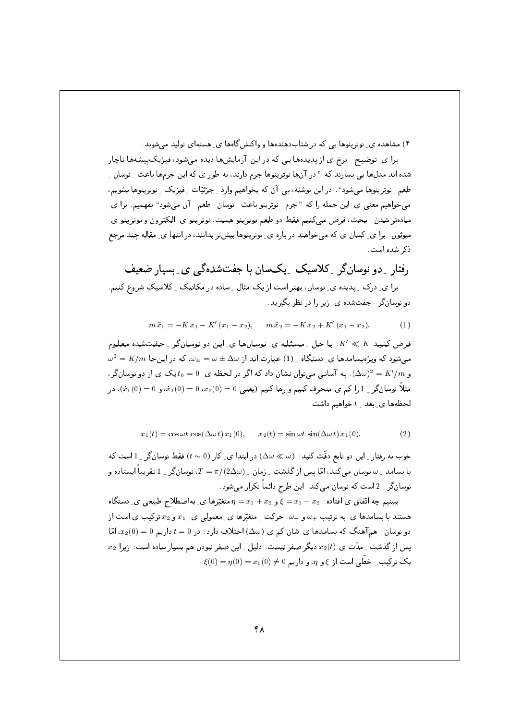۴) مشاهده ی ِ نوترینوها یی که در شتابدهندهها و واکنش گاهها ی ِ هستهای تولید می شوند.

برا ی ِ توضیح ِ برخ ی از پدیدهها یی که در این آزمایشها دیده می شود، فیزیک پیشهها ناچار شده اند مدلها یی بسازند که " در آنها نوترینوها جرم دارند، به طور ی که این جرمها باعث ِ نوسان ِ طعم ِ نوترینوها میشود". در این نوشته، بی آن که بخواهیم وارد ِ جزئیّات ِ فیزیک ِ نوترینوها بشویم، می خواهیم معنی ی ِ این جمله را که "جرم ِ ِ نوترینو باعث ِ ِ نوسان ِ طعم ِ آن میشود" بفهمیم. برا ی ِ سادهتر شدن \_ بحث، فرض مى كنيم فقط دو طعم نوترينو هست، نوترينو ي\_ الكترون و نوترينو ي\_ میوئون. برا ی ِ کسان ی که میخواهند در باره ی ِ نوترینوها بیشتر بدانند، در انتها ی ِ مقاله چند مرجع ذکر شده است.

رفتار ِ دو نوسانگر ِ کلاسیک ِ یکسان با جفتشدهگی ی ِ بِسیارِ ضعیف برا ی ِ درک ِ پدیده ی ِ نوسان، بهتر است از یک مثال ِ ساده در مکانیک ِ کلاسیک شروع کنیم. دو نوسان گر \_ جفت شده ی\_ زیر را در نظر بگیرید.

> $m\ddot{x}_1 = -K x_1 - K'(x_1 - x_2), \quad m\ddot{x}_2 = -K x_2 + K'(x_1 - x_2).$  $(1)$

فرض کنید K' & K. با حل ِ مسئله ی ِ نوسانها ی ِ این دو نوسانگر ِ جفتشده معلوم  $\omega^2 = K/m$  میشود که ویژهبسامدها ی دستگاه و (1) عبارت اند از  $\omega \pm \omega = \omega \pm \omega$ ، که در اینجا و  $\Delta\omega$ ) د آسانی می توان نشان داد که اگر در لحظه ی و $t_0=0$ یک ی از دو نوسان گر ا $\Delta\omega)^2=K'/m$  و مثلاً نوسانگر <sub>-</sub> 1 را کم ی منحرف کنیم و رها کنیم (یعنی 0 = (0)2،2 ، 0 = (0) نه، و 0 = (0)، در لحظهها ي بعد  $t$  خواهيم داشت

$$
x_1(t) = \cos \omega t \, \cos(\Delta \omega t) \, x_1(0), \qquad x_2(t) = \sin \omega t \, \sin(\Delta \omega t) \, x_1(0). \tag{2}
$$

خوب به رفتار ِ این دو تابع دقّت کنید:  $(\Delta\omega\ll\omega)\,$  در ابتدا ی ِ کار  $(t\sim 0)$  فقط نوسان گر ِ 1 است که با بسامد به نوسان می کند، امّا پس از گذشت ب زمان با $\pi/(2\Delta\omega)$  توسانگر با $T=\pi/2$  تقریباً ایستاده و نوسان گر ِ 2 است که نوسان میکند. این طرح دائماً تکرار میشود.

ببینیم چه اتّفاق ی افتاده:  $\xi = x_1 - x_2$ و  $x_1 + x_2 = \eta$ متغیّرها ی ِ بهاصطلاح طبیعی ی ِ دستگاه هستند با بسامدها ی ِ به ترتیب +u و \_w. حرکت ِ متغیّرها ی ِ معمولی ی ِ  $x_1$  و  $x_2$  ترکیب ی است از  $x_2(0) = 0$  دو نوسان ِ هم آهنگ که بسامدها ی ِ شان کم ی  $(\Delta\omega)$  اختلاف دارد. در  $t = 0$  داریم  $x_2$  پس از گذشت ِ مدّت ی  $x_2(t)$  دیگر صفر نیست. دلیل ِ این صفر نبودن هم بسیار ساده است: زیرا  $x_2$  $\mathcal{L}(0) = \eta(0) = x_1(0) \neq 0$ یک ترکیب ِ خطّی است از ع و n، و داریم ہ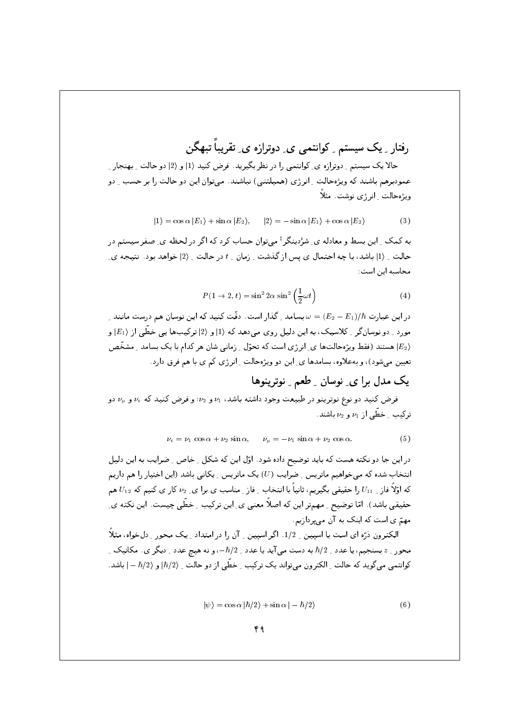رفتار کیک سیستم کوانتمی پی دوترازه پی تقریباً تنهگن

حالا یک سیستم ِ دوترازه ی ِ کوانتمی را در نظر بگیرید. فرض کنید (1| و (2| دو حالت ِ بهنجار ِ ِ عمودبرهم باشند که ویژهحالت \_ انرژی (همیلتنی) نباشند. می توان این دو حالت را بر حسب \_ دو ویژه حالت \_ انرژی نوشت. مثلاً

$$
|1\rangle = \cos \alpha |E_1\rangle + \sin \alpha |E_2\rangle, \qquad |2\rangle = -\sin \alpha |E_1\rangle + \cos \alpha |E_2\rangle \tag{3}
$$

په کمک پایین پسط و معادله ی شرُدینگر ‡می توان حساب کرد که اگر در لحظه ی صفر سیستم در حالت ِ (1| باشد، با چه احتمال ی پس از گذشت ِ زمان ِ t در حالت ِ (2| خواهد بود. نتیجه یِ محاسبه اين است:

$$
P(1 \to 2, t) = \sin^2 2\alpha \sin^2 \left(\frac{1}{2}\omega t\right)
$$
 (4)

در این عبارت  $\hbar$ / $(E_2-E_1)/\hbar$  بسامد ِ گذار است. دقّت کنید که این نوسان هم درست مانند ِ مورد ِ دو نوسانگر ِ کلاسیک، به این دلیل روی می٫دهد که (1| و (2| ترکیبها یی خطّی از (E1) و هستند (فقط ویژهحالتها ی ِ انرژی است که تحوّل ِ زمانی شان هر کدام با یک بسامد ِ مشخّص (E2 تعیین می شود)، و بهعلاوه، بسامدها ی ِ این دو ویژهحالت ِ انرژی کم ی با هم فرق دارد.

و

$$
\nu_e = \nu_1 \cos \alpha + \nu_2 \sin \alpha, \qquad \nu_\mu = -\nu_1 \sin \alpha + \nu_2 \cos \alpha. \tag{5}
$$

در این جا دو نکته هست که باید توضیح داده شود. اوّل این که شکل \_ خاص \_ ضرایب به این دلیل انتخاب شده که می خواهیم ماتریس <sub>-</sub> ضرایب (U) یک ماتریس <sub>-</sub> یکانی باشد (این اختیار را هم داریم که اوّلاً فاز ِ  $U_{11}$  را حقیقی بگیریم، ثانیاً با انتخاب ِ فاز ِ مناسب ی برا ی ِ  $\nu_2$  کار ی کنیم که  $U_{11}$  هم حقیقی باشد) . امّا توضیح <sub>-</sub> مهمتر این که اصلاً معنی ی ِ این ترکیب <sub>-</sub> خطّی چیست. این نکته ی ِ مهمّ ی است که اینک به آن میپردازیم.

الکترون ذرّہ ای است با اسپین 1/2. اگر اسپین 15ن را در امتداد کےک محور کی خواہ، مثلاً محور \_ z بسنجيم، يا عدد \_  $\hbar/2$  به دست مي آيد يا عدد \_  $-\hbar/2$  ، و نه هيچ عدد \_ ديگر ي . مكانيک \_ كوانتمي مي گويد كه حالت <sub>-</sub> الكترون مي تواند يک تركيب <sub>-</sub> خطّي از دو حالت <sub>-</sub> (17<sub>/2</sub> و (2/ h– | باشد .

$$
|\psi\rangle = \cos\alpha |\hbar/2\rangle + \sin\alpha |-\hbar/2\rangle \tag{6}
$$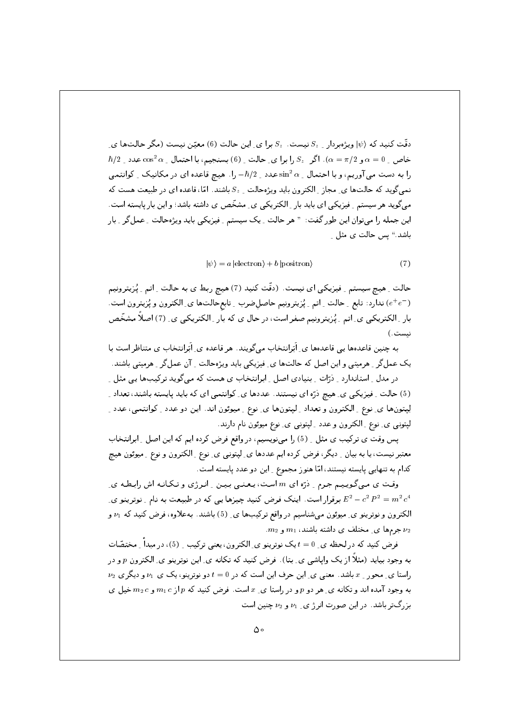دقّت کنید که  $|\psi\rangle$  ویژهبردار  $S_z$  نیست .  $S_z$  برا ی ِ این حالت (6) معیّن نیست (مگر حالتها ی ِ  $\hbar/2$  خاص پ $\alpha=0$  و  $\alpha=\pi/2$  . اگر  $S_z$  را برا ی ِحالت پ $(6)$  بسنجیم، با احتمال پ $\alpha=0$  عدد پ را به دست می آوریم، و با احتمال  $\sin^2\alpha$  عدد  $\hbar/2$  را . هیچ قاعده ای در مکانیک \_ کوانتمی نمی گوید که حالتها ی ِ مجاز ِ الکترون باید ویژهحالت ِ  $S_z$  باشند. امّا، قاعده ای در طبیعت هست که می گوید هر سیستم ِ ِ فیزیکی ای باید بار ِ الکتریکی ی ِ مشخّص ی داشته باشد؛ و این بار پایسته است. این جمله را میتوان این طور گفت: " هر حالت ِ یک سیستم ِ فیزیکی باید ویژهحالت ِ عمل٤گر ِ بار باشد." بس حالت ی مثل ع

$$
|\psi\rangle = a | \text{electron} \rangle + b | \text{position} \rangle \tag{7}
$$

حالت ِ هيچ سيستم ِ فيزيكي اي نيست. (دقّت كنيد (7) هيچ ربط ي به حالت ِ اتم ِ پُرْيترونيم ( =e+e) ندارد: تابع \_حالت \_ اتم \_ پُزيترونيم حاصل ضرب \_ تابع حالتها ي\_ الكترون و پُزيترون است. بار ِ الکتریکی ی ِ اتم ِ پُرٰیترونیم صفر است، در حال ی که بار ِ الکتریکی ی ِ (7) اصلاً مشخّص نىست.)

به چنین قاعدهها پی قاعدهها ی ِ اَبَرانتخاب می گویند. هر قاعده ی ِ اَبَرانتخاب ی متناظر است با یک عمل گر <sub>-</sub> هرمیتی و این اصل که حالتها ی ِ فیزیکی باید ویژهحالت <sub>-</sub> آن عمل گر <sub>-</sub> هرمیتی باشند.

در مدل ِ استاندارد ِ ِ دْرَّات ِ بِنيادي اصل ِ ابرانتخاب ی هست که می گويد ترکيبها يی مثل ِ ِ (5) حالت ِ فیزیکی ی ِ هیچ ذرّه ای نیستند. عددها ی ِ کوانتمی ای که باید پایسته باشند، تعداد ِ لِپتونها ي ِنوع ِ الكترون و تعداد ِ لپتونها ي ِ نوع ِ ميوئون اند. اين دو عدد ِ كوانتمي، عدد ِ لپتونی ی ِ نوع ِ الکترون و عدد ِ لپتونی ی ِ نوع میوئون نام دارند.

يس وقت ي تركيب ي مثل \_ (5) را مي نويسيم، در واقع فرض كرده ايم كه اين اصل \_ ابرانتخاب معتبر نیست، یا به بیان ِ دیگر، فرض کرده ایم عددها ی ِ لپتونی ی ِ نوع ِ الکترون و نوع ِ میوئون هیچ کدام به تنهایی پایسته نیستند، امّا هنوز مجموع ِ این دو عدد پایسته است.

وقت ی مـیگویـیـم جـرم ِ دْرّه ای  $m$  اسـت، یـعـنـی بـیـن ِ انـرژی و تـکـانـه اش رابـطـه ی ِ برقرار است. اینک فرض کنید چیزها یی که در طبیعت به نام ِ نوترینو ی ِ  $E^2-c^2\,P^2=m^2\,c^4$ الکترون و نوترینو ی ِ میوئون می شناسیم در واقع ترکیبها ی ِ (5) باشند. بهعلاوه، فرض کنید که  $\nu_1$  و  $m_2$  جرمها ی ِ مختلف ی داشته باشند،  $m_1$  و  $\nu_2$ 

فرض کنید که در لحظه ی ِ d = 0 یک نوترینو ی ِ الکترون، یعنی ترکیب ِ ِ (5)، در میداً ِ مختصّات به وجود بیاید (مثلاً از یک وایاشی ی ِ بتا). فرض کنید که تکانه ی ِ این نوترینو ی ِ الکترون p و در  $\nu_2$  راستا ی ِ محور ِ  $x$  باشد. معنی ی ِ این حرف این است که در  $t=0$  دو نوترینو، یک ی  $\nu_1$  و دیگری به وجود آمده اند و تکانه ی ِ هر دو p و در راستا ی ِ  $x$  است. فرض کنید که p از m1 c و m2 خیل ی بزرگتر باشد. در این صورت انرژ ی ت $\nu_1$  و  $\nu_2$  چنین است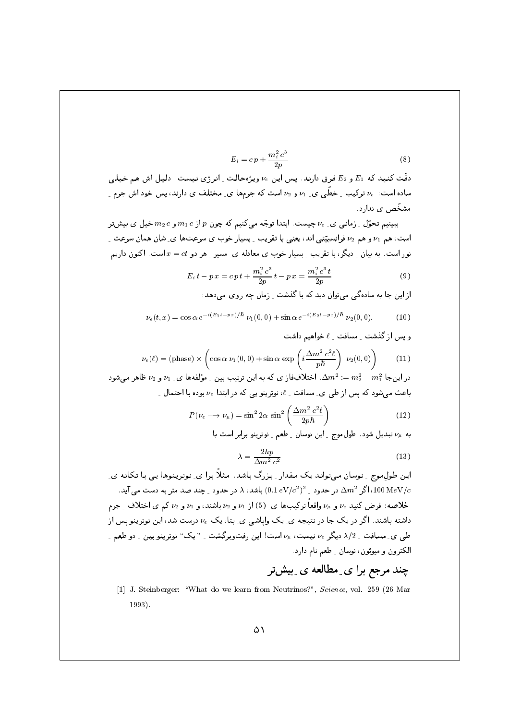$$
E_i = c p + \frac{m_i^2 c^3}{2p} \tag{8}
$$

دقّت کنید که  $E_1$  و  $E_2$  فرق دارند. پس این  $\nu_e$  ویژهحالت ِ انرژی نیست! دلیل اش هم خیلبی ساده است:  $\nu_e$  ترکیب ِ خطّی ی ِ 1⁄2 و 1⁄2 است که جرمها ی ِ مختلف ی دارند، پس خود اش جرم ِ مشخّص ی ندارد.

ببینیم تحوّل ِ زمانی ی ِ  $\nu_e$  چیست. ابتدا توجّه میکنیم که چون  $p$  از  $m_1\,c$  و  $m_2\,c$  خیل ی بیش تر است، هم  $\nu_1$  و هم  $\nu_2$  فرانسبیّتی اند، یعنی با تقریب ۱ بسیار خوب ی سرعتها ی ِ شان همان سرعت ِ نور است. به بیان ِ دیگر، با تقریب ِ بسیار خوب ی معادله ی ِ مسیر ِ هر دو  $x = c t$ است. اکنون داریم

$$
E_i t - p x = c p t + \frac{m_i^2 c^3}{2p} t - p x = \frac{m_i^2 c^3 t}{2p}
$$
 (9)

از این جا به سادهگی می توان دید که با گذشت پزمان چه روی می دهد:

$$
\nu_e(t,x) = \cos \alpha \, e^{-i(E_1 t - px)/\hbar} \, \nu_1(0,0) + \sin \alpha \, e^{-i(E_2 t - px)/\hbar} \, \nu_2(0,0). \tag{10}
$$

و بس از گذشت مسافت  $\ell$  خواهیم داشت

$$
\nu_e(\ell) = (\text{phase}) \times \left( \cos \alpha \nu_1(0,0) + \sin \alpha \exp \left( i \frac{\Delta m^2 c^2 \ell}{p \hbar} \right) \nu_2(0,0) \right)
$$
(11)

در اینجا  $m_1^2=m_2^2-m_1^2=0$ . اختلافِفاز ی که به این ترتیب بین ِ مؤلفهها ی ِ  $\nu_1$  و  $\nu_2$  ظاهر می شود باعث می شود که پس از طی ی ِ مسافت ِ  $\ell$ ، نوترینو یی که در ابتدا ع $\nu_e$  بوده با احتمال ِ با

$$
P(\nu_e \longrightarrow \nu_\mu) = \sin^2 2\alpha \sin^2 \left(\frac{\Delta m^2 c^2 \ell}{2p\hbar}\right) \tag{12}
$$

به  $\nu_\mu$  تبدیل شود . طول موج \_ این نوسان \_ طعم \_ نوترینو برابر است با

$$
\lambda = \frac{2hp}{\Delta m^2 c^2} \tag{13}
$$

اپن طول موج ۔ نوسان می تواند یک مقدار ۔ بزرگ باشد. مثلاً برا ی ِ نوتِر پنوها یے ِ با تکانه ی ِ در حدود  $\Delta m^2$  (0.1  $\Delta m^2$  در حدود  $\Lambda \, (0.1 \, eV/c^2)^2$  باشد،  $\Lambda$  در حدود  $\Delta m^2$  (100 MeV/ $c$ خلاصه: فرض کنید  $\nu_e$  و  $\nu_u$ واقعاً ترکیبها ی ِ (5) از  $\nu_1$  و  $\nu_2$  باشند، و  $\nu_1$  و  $\nu_2$  کم ی اختلاف ِ جرم داشته باشند. اگر در یک جا در نتیجه ی ِ یک وایاشی ی ِ بتا، یک ع $\nu_e$  درست شد، این نوترینو پس از طبی ی ِ مسافت ِ 2/2 دیگر  $\nu_e$  نیست،  $\nu_\mu$  است! این رفتوبرگشت ِ " یک" نوترینو بین ِ دو طعم ِ الكترون و ميوئون، نوسان \_ طعم نام دارد.

## چند مرجع برا ی ِ مطالعه ی ِ بیشتر

[1] J. Steinberger: "What do we learn from Neutrinos?", Science, vol. 259 (26 Mar  $1993$ ).